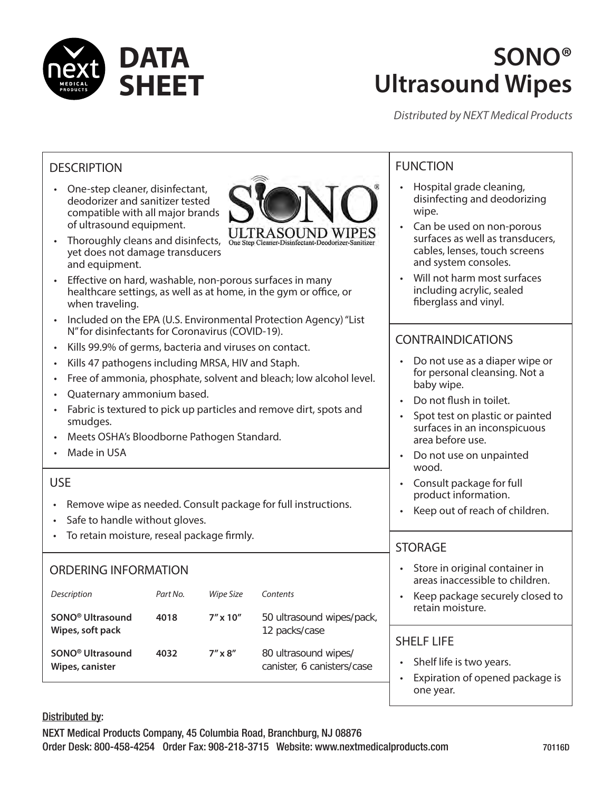

### **SONO® Ultrasound Wipes**

• Hospital grade cleaning, disinfecting and deodorizing

• Can be used on non-porous surfaces as well as transducers, cables, lenses, touch screens

Will not harm most surfaces including acrylic, sealed fiberglass and vinyl.

• Do not use as a diaper wipe or for personal cleansing. Not a

Spot test on plastic or painted surfaces in an inconspicuous

and system consoles.

CONTRAINDICATIONS

• Do not flush in toilet.

• Do not use on unpainted

• Consult package for full product information.

• Keep out of reach of children.

Store in original container in

area before use.

baby wipe.

wood.

STORAGE

one year.

FUNCTION

wipe.

*Distributed by NEXT Medical Products*

### **DESCRIPTION**

• One-step cleaner, disinfectant, deodorizer and sanitizer tested compatible with all major brands of ultrasound equipment.



- Thoroughly cleans and disinfects, yet does not damage transducers and equipment.
- Effective on hard, washable, non-porous surfaces in many healthcare settings, as well as at home, in the gym or office, or when traveling.
- Included on the EPA (U.S. Environmental Protection Agency) "List N" for disinfectants for Coronavirus (COVID-19).
- Kills 99.9% of germs, bacteria and viruses on contact.
- Kills 47 pathogens including MRSA, HIV and Staph.
- Free of ammonia, phosphate, solvent and bleach; low alcohol level.
- Quaternary ammonium based.
- Fabric is textured to pick up particles and remove dirt, spots and smudges.
- Meets OSHA's Bloodborne Pathogen Standard.
- Made in USA

### USE

- Remove wipe as needed. Consult package for full instructions.
- Safe to handle without gloves.
- To retain moisture, reseal package firmly.

### ORDERING INFORMATION

| Description<br>SONO <sup>®</sup> Ultrasound<br>Wipes, soft pack | Part No.<br>4018 | Wipe Size<br>$7'' \times 10''$ | Contents<br>50 ultrasound wipes/pack,<br>12 packs/case | areas inaccessible to children.<br>Keep package securely closed to<br>retain moisture. |
|-----------------------------------------------------------------|------------------|--------------------------------|--------------------------------------------------------|----------------------------------------------------------------------------------------|
| SONO <sup>®</sup> Ultrasound<br>Wipes, canister                 | 4032             | $7'' \times 8''$               | 80 ultrasound wipes/<br>canister, 6 canisters/case     | <b>SHELF LIFE</b><br>Shelf life is two years.<br>Expiration of opened package is       |

Distributed by: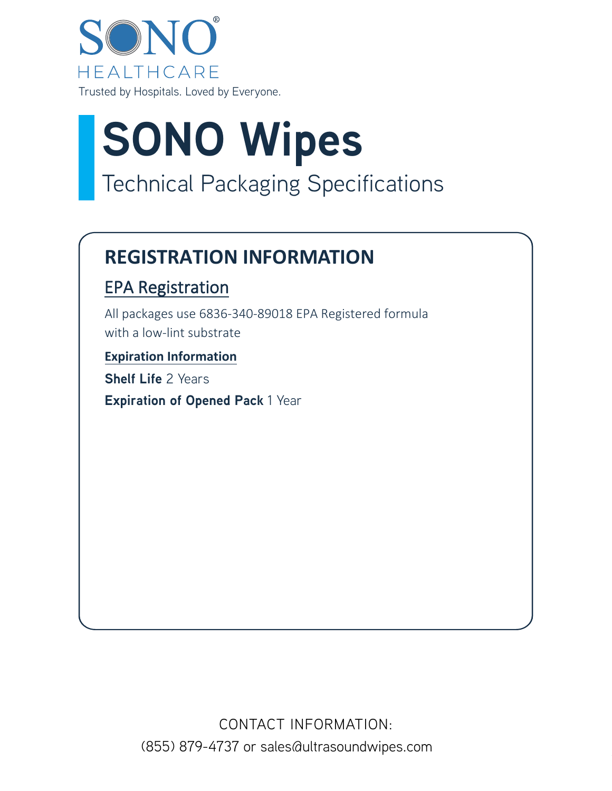

# **SONO Wipes** Technical Packaging Specifications

### **REGISTRATION INFORMATION**

### EPA Registration

All packages use 6836-340-89018 EPA Registered formula with a low-lint substrate

### **Expiration Information**

**Shelf Life** 2 Years **Expiration of Opened Pack** 1 Year

> CONTACT INFORMATION: (855) 879-4737 or sales@ultrasoundwipes.com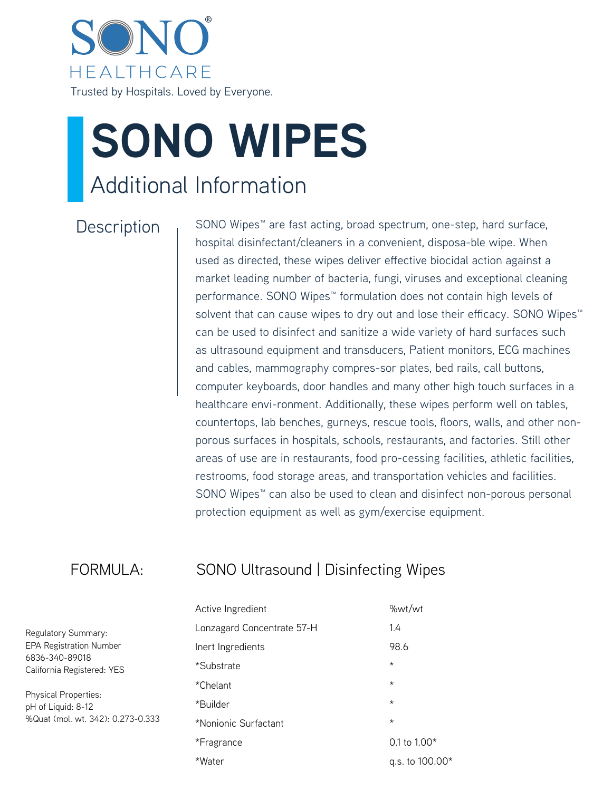

# **SONO WIPES** Additional Information

 $Description_{1}$  SONO Wipes<sup>™</sup> are fast acting, broad spectrum, one-step, hard surface, hospital disinfectant/cleaners in a convenient, disposa-ble wipe. When used as directed, these wipes deliver effective biocidal action against a market leading number of bacteria, fungi, viruses and exceptional cleaning performance. SONO Wipes<sup>™</sup> formulation does not contain high levels of solvent that can cause wipes to dry out and lose their efficacy. SONO Wipes<sup>™</sup> can be used to disinfect and sanitize a wide variety of hard surfaces such as ultrasound equipment and transducers, Patient monitors, ECG machines and cables, mammography compres-sor plates, bed rails, call buttons, computer keyboards, door handles and many other high touch surfaces in a healthcare envi-ronment. Additionally, these wipes perform well on tables, countertops, lab benches, gurneys, rescue tools, floors, walls, and other nonporous surfaces in hospitals, schools, restaurants, and factories. Still other areas of use are in restaurants, food pro-cessing facilities, athletic facilities, restrooms, food storage areas, and transportation vehicles and facilities. SONO Wipes<sup>™</sup> can also be used to clean and disinfect non-porous personal protection equipment as well as gym/exercise equipment.

### FORMULA: SONO Ultrasound | Disinfecting Wipes

| Active Ingredient          | %wt/wt          |
|----------------------------|-----------------|
| Lonzagard Concentrate 57-H | 1.4             |
| Inert Ingredients          | 98.6            |
| *Substrate                 | $\star$         |
| *Chelant                   | $^\star$        |
| *Builder                   | $\star$         |
| *Nonionic Surfactant       | $\star$         |
| *Fragrance                 | 0.1 to $1.00*$  |
| *Water                     | q.s. to 100.00* |

Regulatory Summary: EPA Registration Number 6836-340-89018 California Registered: YES

Physical Properties: pH of Liquid: 8-12 %Quat (mol. wt. 342): 0.273-0.333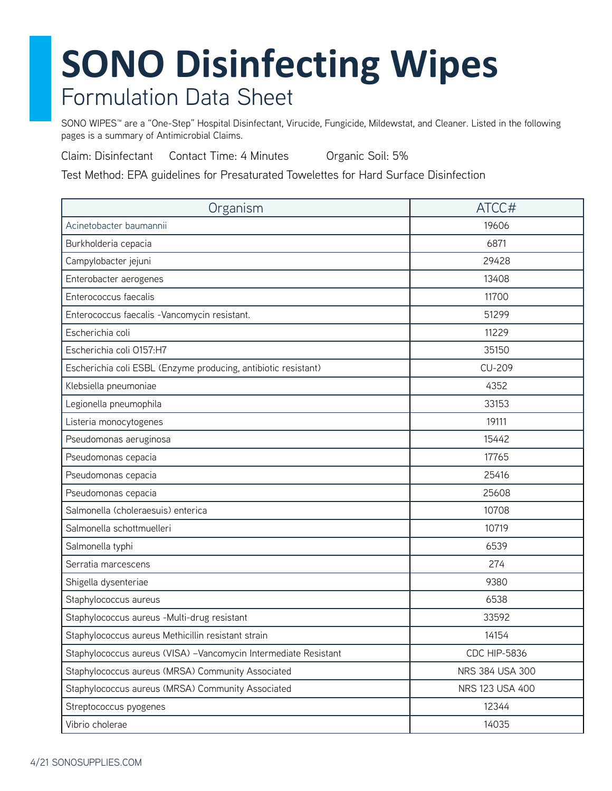SONO WIPES™ are a "One-Step" Hospital Disinfectant, Virucide, Fungicide, Mildewstat, and Cleaner. Listed in the following pages is a summary of Antimicrobial Claims.

Claim: Disinfectant Contact Time: 4 Minutes Organic Soil: 5%

Test Method: EPA guidelines for Presaturated Towelettes for Hard Surface Disinfection

| Organism                                                         | ATCC#               |
|------------------------------------------------------------------|---------------------|
| Acinetobacter baumannii                                          | 19606               |
| Burkholderia cepacia                                             | 6871                |
| Campylobacter jejuni                                             | 29428               |
| Enterobacter aerogenes                                           | 13408               |
| Enterococcus faecalis                                            | 11700               |
| Enterococcus faecalis - Vancomycin resistant.                    | 51299               |
| Escherichia coli                                                 | 11229               |
| Escherichia coli 0157:H7                                         | 35150               |
| Escherichia coli ESBL (Enzyme producing, antibiotic resistant)   | <b>CU-209</b>       |
| Klebsiella pneumoniae                                            | 4352                |
| Legionella pneumophila                                           | 33153               |
| Listeria monocytogenes                                           | 19111               |
| Pseudomonas aeruginosa                                           | 15442               |
| Pseudomonas cepacia                                              | 17765               |
| Pseudomonas cepacia                                              | 25416               |
| Pseudomonas cepacia                                              | 25608               |
| Salmonella (choleraesuis) enterica                               | 10708               |
| Salmonella schottmuelleri                                        | 10719               |
| Salmonella typhi                                                 | 6539                |
| Serratia marcescens                                              | 274                 |
| Shigella dysenteriae                                             | 9380                |
| Staphylococcus aureus                                            | 6538                |
| Staphylococcus aureus - Multi-drug resistant                     | 33592               |
| Staphylococcus aureus Methicillin resistant strain               | 14154               |
| Staphylococcus aureus (VISA) - Vancomycin Intermediate Resistant | <b>CDC HIP-5836</b> |
| Staphylococcus aureus (MRSA) Community Associated                | NRS 384 USA 300     |
| Staphylococcus aureus (MRSA) Community Associated                | NRS 123 USA 400     |
| Streptococcus pyogenes                                           | 12344               |
| Vibrio cholerae                                                  | 14035               |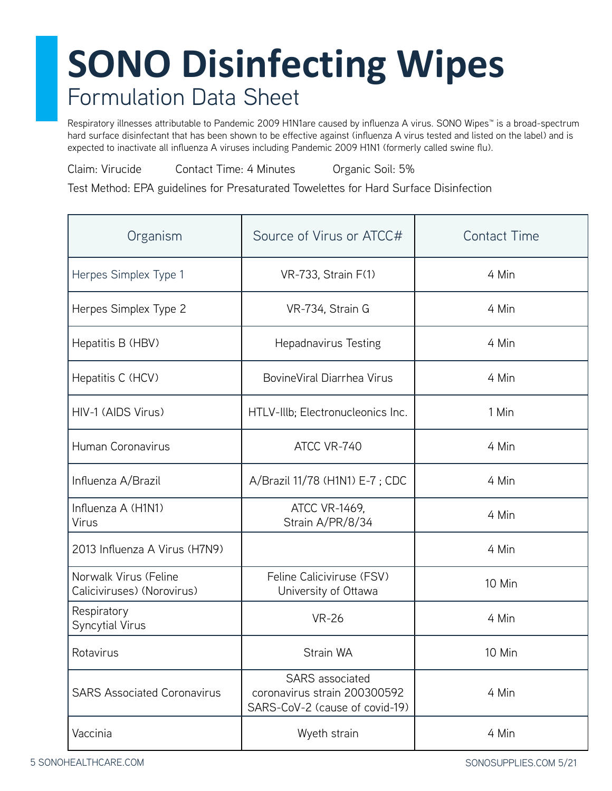Respiratory illnesses attributable to Pandemic 2009 H1N1are caused by influenza A virus. SONO Wipes™ is a broad-spectrum hard surface disinfectant that has been shown to be effective against (influenza A virus tested and listed on the label) and is expected to inactivate all influenza A viruses including Pandemic 2009 H1N1 (formerly called swine flu).

Claim: Virucide Contact Time: 4 Minutes Organic Soil: 5%

Test Method: EPA guidelines for Presaturated Towelettes for Hard Surface Disinfection

| Organism                                            | Source of Virus or ATCC#                                                          | <b>Contact Time</b> |
|-----------------------------------------------------|-----------------------------------------------------------------------------------|---------------------|
| Herpes Simplex Type 1                               | VR-733, Strain F(1)                                                               | 4 Min               |
| Herpes Simplex Type 2                               | VR-734, Strain G                                                                  | 4 Min               |
| Hepatitis B (HBV)                                   | <b>Hepadnavirus Testing</b>                                                       | 4 Min               |
| Hepatitis C (HCV)                                   | BovineViral Diarrhea Virus                                                        | 4 Min               |
| HIV-1 (AIDS Virus)                                  | HTLV-IIIb; Electronucleonics Inc.                                                 | 1 Min               |
| Human Coronavirus                                   | ATCC VR-740                                                                       | 4 Min               |
| Influenza A/Brazil                                  | A/Brazil 11/78 (H1N1) E-7 ; CDC                                                   | 4 Min               |
| Influenza A (H1N1)<br><b>Virus</b>                  | ATCC VR-1469,<br>Strain A/PR/8/34                                                 | 4 Min               |
| 2013 Influenza A Virus (H7N9)                       |                                                                                   | 4 Min               |
| Norwalk Virus (Feline<br>Caliciviruses) (Norovirus) | Feline Caliciviruse (FSV)<br>University of Ottawa                                 | 10 Min              |
| Respiratory<br><b>Syncytial Virus</b>               | <b>VR-26</b>                                                                      | 4 Min               |
| Rotavirus                                           | Strain WA                                                                         | 10 Min              |
| <b>SARS Associated Coronavirus</b>                  | SARS associated<br>coronavirus strain 200300592<br>SARS-CoV-2 (cause of covid-19) | 4 Min               |
| Vaccinia                                            | Wyeth strain                                                                      | 4 Min               |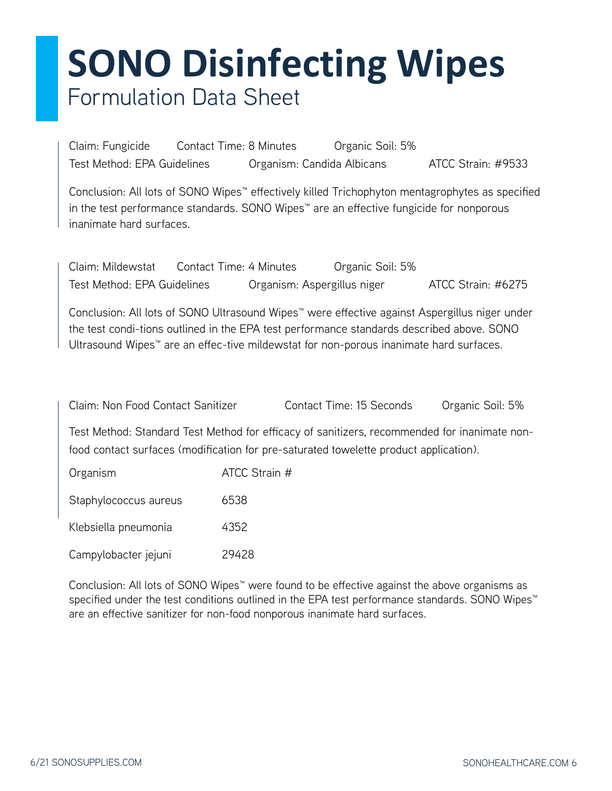Claim: Fungicide Contact Time: 8 Minutes Organic Soil: 5% Test Method: EPA Guidelines Crganism: Candida Albicans ATCC Strain: #9533

Conclusion: All lots of SONO Wipes™ effectively killed Trichophyton mentagrophytes as specified in the test performance standards. SONO Wipes™ are an effective fungicide for nonporous inanimate hard surfaces.

| Claim: Mildewstat           | Contact Time: 4 Minutes     | Organic Soil: 5% |                    |
|-----------------------------|-----------------------------|------------------|--------------------|
| Test Method: EPA Guidelines | Organism: Aspergillus niger |                  | ATCC Strain: #6275 |

Conclusion: All lots of SONO Ultrasound Wipes™ were effective against Aspergillus niger under the test condi-tions outlined in the EPA test performance standards described above. SONO Ultrasound Wipes™ are an effec-tive mildewstat for non-porous inanimate hard surfaces.

Claim: Non Food Contact Sanitizer Contact Time: 15 Seconds Organic Soil: 5%

Test Method: Standard Test Method for efficacy of sanitizers, recommended for inanimate nonfood contact surfaces (modification for pre-saturated towelette product application).

| Organism              | ATCC Strain # |
|-----------------------|---------------|
| Staphylococcus aureus | 6538          |
| Klebsiella pneumonia  | 4352          |
| Campylobacter jejuni  | 29428         |

Conclusion: All lots of SONO Wipes™ were found to be effective against the above organisms as specified under the test conditions outlined in the EPA test performance standards. SONO Wipes™ are an effective sanitizer for non-food nonporous inanimate hard surfaces.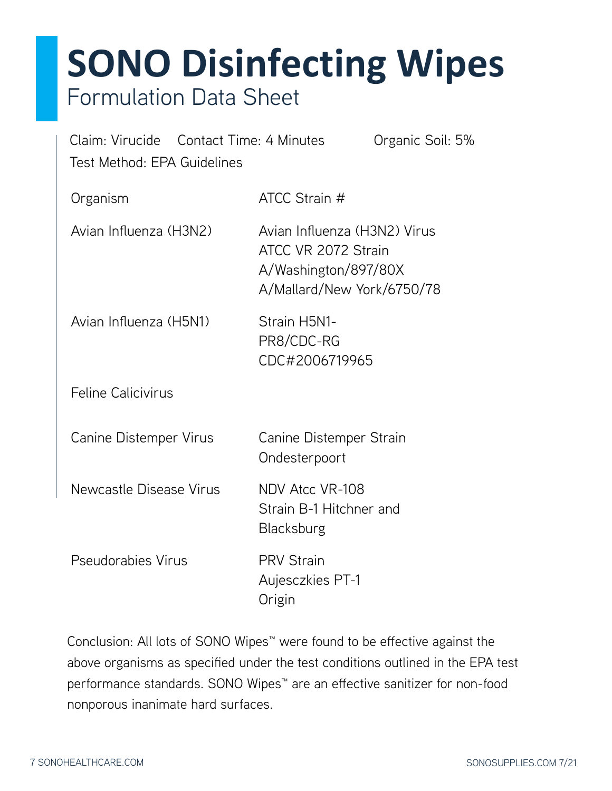| Claim: Virucide Contact Time: 4 Minutes<br>Organic Soil: 5%<br>Test Method: EPA Guidelines |                                                                                                           |  |
|--------------------------------------------------------------------------------------------|-----------------------------------------------------------------------------------------------------------|--|
| Organism                                                                                   | ATCC Strain #                                                                                             |  |
| Avian Influenza (H3N2)                                                                     | Avian Influenza (H3N2) Virus<br>ATCC VR 2072 Strain<br>A/Washington/897/80X<br>A/Mallard/New York/6750/78 |  |
| Avian Influenza (H5N1)                                                                     | Strain H5N1-<br>PR8/CDC-RG<br>CDC#2006719965                                                              |  |
| <b>Feline Calicivirus</b>                                                                  |                                                                                                           |  |
| Canine Distemper Virus                                                                     | Canine Distemper Strain<br>Ondesterpoort                                                                  |  |
| <b>Newcastle Disease Virus</b>                                                             | NDV Atcc VR-108<br>Strain B-1 Hitchner and<br><b>Blacksburg</b>                                           |  |
| Pseudorabies Virus                                                                         | <b>PRV Strain</b><br>Aujesczkies PT-1<br>Origin                                                           |  |
|                                                                                            |                                                                                                           |  |

Conclusion: All lots of SONO Wipes™ were found to be effective against the above organisms as specified under the test conditions outlined in the EPA test performance standards. SONO Wipes<sup>™</sup> are an effective sanitizer for non-food nonporous inanimate hard surfaces.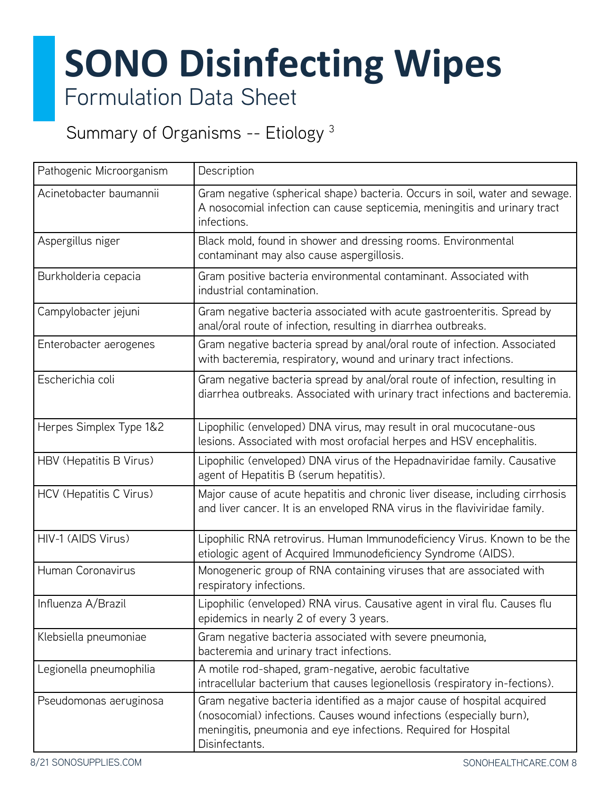Summary of Organisms -- Etiology<sup>3</sup>

| Pathogenic Microorganism | Description                                                                                                                                                                                                                         |
|--------------------------|-------------------------------------------------------------------------------------------------------------------------------------------------------------------------------------------------------------------------------------|
| Acinetobacter baumannii  | Gram negative (spherical shape) bacteria. Occurs in soil, water and sewage.<br>A nosocomial infection can cause septicemia, meningitis and urinary tract<br>infections.                                                             |
| Aspergillus niger        | Black mold, found in shower and dressing rooms. Environmental<br>contaminant may also cause aspergillosis.                                                                                                                          |
| Burkholderia cepacia     | Gram positive bacteria environmental contaminant. Associated with<br>industrial contamination.                                                                                                                                      |
| Campylobacter jejuni     | Gram negative bacteria associated with acute gastroenteritis. Spread by<br>anal/oral route of infection, resulting in diarrhea outbreaks.                                                                                           |
| Enterobacter aerogenes   | Gram negative bacteria spread by anal/oral route of infection. Associated<br>with bacteremia, respiratory, wound and urinary tract infections.                                                                                      |
| Escherichia coli         | Gram negative bacteria spread by anal/oral route of infection, resulting in<br>diarrhea outbreaks. Associated with urinary tract infections and bacteremia.                                                                         |
| Herpes Simplex Type 1&2  | Lipophilic (enveloped) DNA virus, may result in oral mucocutane-ous<br>lesions. Associated with most orofacial herpes and HSV encephalitis.                                                                                         |
| HBV (Hepatitis B Virus)  | Lipophilic (enveloped) DNA virus of the Hepadnaviridae family. Causative<br>agent of Hepatitis B (serum hepatitis).                                                                                                                 |
| HCV (Hepatitis C Virus)  | Major cause of acute hepatitis and chronic liver disease, including cirrhosis<br>and liver cancer. It is an enveloped RNA virus in the flaviviridae family.                                                                         |
| HIV-1 (AIDS Virus)       | Lipophilic RNA retrovirus. Human Immunodeficiency Virus. Known to be the<br>etiologic agent of Acquired Immunodeficiency Syndrome (AIDS).                                                                                           |
| Human Coronavirus        | Monogeneric group of RNA containing viruses that are associated with<br>respiratory infections.                                                                                                                                     |
| Influenza A/Brazil       | Lipophilic (enveloped) RNA virus. Causative agent in viral flu. Causes flu<br>epidemics in nearly 2 of every 3 years.                                                                                                               |
| Klebsiella pneumoniae    | Gram negative bacteria associated with severe pneumonia,<br>bacteremia and urinary tract infections.                                                                                                                                |
| Legionella pneumophilia  | A motile rod-shaped, gram-negative, aerobic facultative<br>intracellular bacterium that causes legionellosis (respiratory in-fections).                                                                                             |
| Pseudomonas aeruginosa   | Gram negative bacteria identified as a major cause of hospital acquired<br>(nosocomial) infections. Causes wound infections (especially burn),<br>meningitis, pneumonia and eye infections. Required for Hospital<br>Disinfectants. |